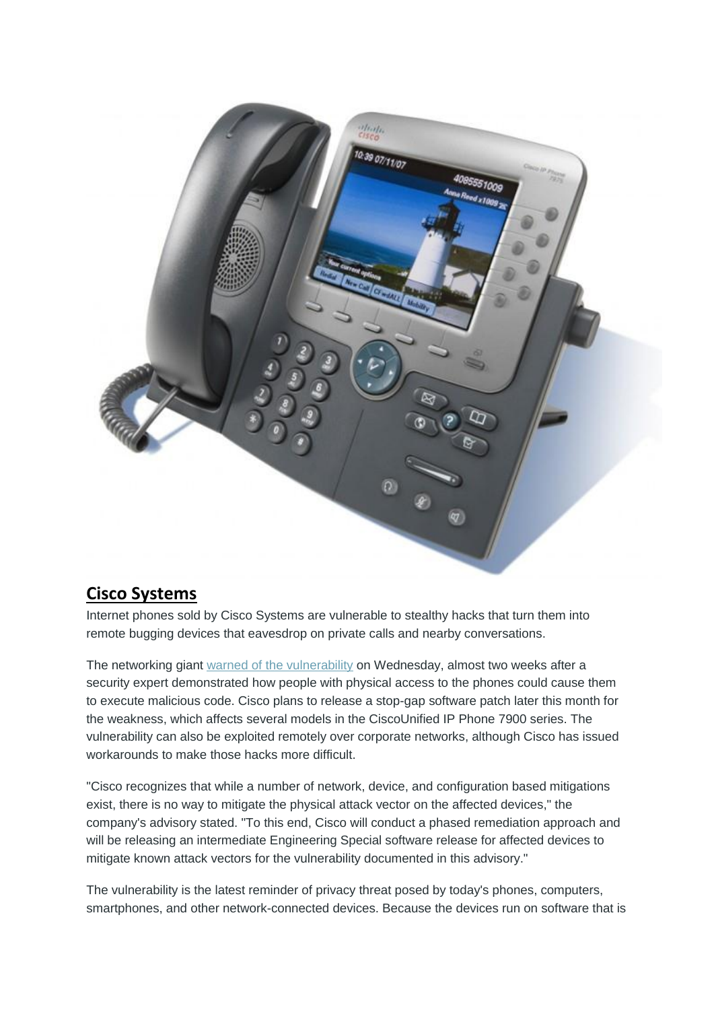

## **[Cisco Systems](https://farm3.static.flickr.com/2668/3808679050_ae0882f27c_o.jpg)**

Internet phones sold by Cisco Systems are vulnerable to stealthy hacks that turn them into remote bugging devices that eavesdrop on private calls and nearby conversations.

The networking giant [warned of the vulnerability](http://tools.cisco.com/security/center/content/CiscoSecurityAdvisory/cisco-sa-20130109-uipphone) on Wednesday, almost two weeks after a security expert demonstrated how people with physical access to the phones could cause them to execute malicious code. Cisco plans to release a stop-gap software patch later this month for the weakness, which affects several models in the CiscoUnified IP Phone 7900 series. The vulnerability can also be exploited remotely over corporate networks, although Cisco has issued workarounds to make those hacks more difficult.

"Cisco recognizes that while a number of network, device, and configuration based mitigations exist, there is no way to mitigate the physical attack vector on the affected devices," the company's advisory stated. "To this end, Cisco will conduct a phased remediation approach and will be releasing an intermediate Engineering Special software release for affected devices to mitigate known attack vectors for the vulnerability documented in this advisory."

The vulnerability is the latest reminder of privacy threat posed by today's phones, computers, smartphones, and other network-connected devices. Because the devices run on software that is